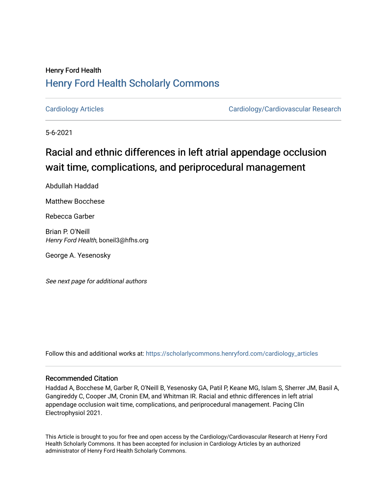### Henry Ford Health [Henry Ford Health Scholarly Commons](https://scholarlycommons.henryford.com/)

[Cardiology Articles](https://scholarlycommons.henryford.com/cardiology_articles) [Cardiology/Cardiovascular Research](https://scholarlycommons.henryford.com/cardiology) 

5-6-2021

## Racial and ethnic differences in left atrial appendage occlusion wait time, complications, and periprocedural management

Abdullah Haddad

Matthew Bocchese

Rebecca Garber

Brian P. O'Neill Henry Ford Health, boneil3@hfhs.org

George A. Yesenosky

See next page for additional authors

Follow this and additional works at: [https://scholarlycommons.henryford.com/cardiology\\_articles](https://scholarlycommons.henryford.com/cardiology_articles?utm_source=scholarlycommons.henryford.com%2Fcardiology_articles%2F747&utm_medium=PDF&utm_campaign=PDFCoverPages)

#### Recommended Citation

Haddad A, Bocchese M, Garber R, O'Neill B, Yesenosky GA, Patil P, Keane MG, Islam S, Sherrer JM, Basil A, Gangireddy C, Cooper JM, Cronin EM, and Whitman IR. Racial and ethnic differences in left atrial appendage occlusion wait time, complications, and periprocedural management. Pacing Clin Electrophysiol 2021.

This Article is brought to you for free and open access by the Cardiology/Cardiovascular Research at Henry Ford Health Scholarly Commons. It has been accepted for inclusion in Cardiology Articles by an authorized administrator of Henry Ford Health Scholarly Commons.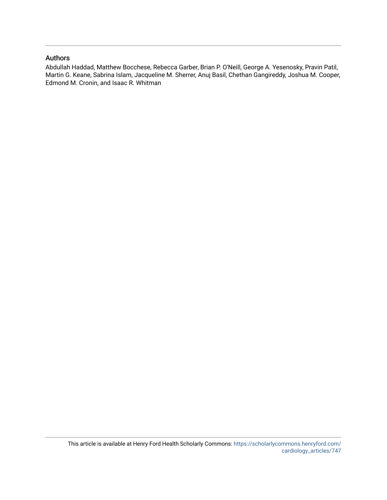#### Authors

Abdullah Haddad, Matthew Bocchese, Rebecca Garber, Brian P. O'Neill, George A. Yesenosky, Pravin Patil, Martin G. Keane, Sabrina Islam, Jacqueline M. Sherrer, Anuj Basil, Chethan Gangireddy, Joshua M. Cooper, Edmond M. Cronin, and Isaac R. Whitman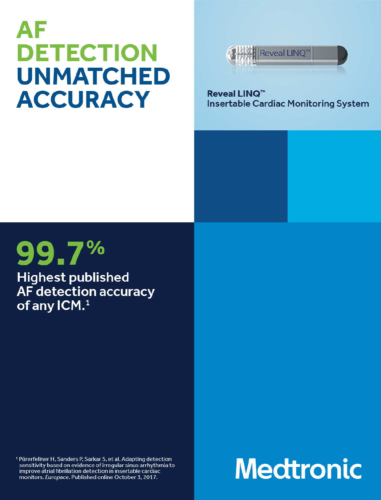## AF **DETECTION UNMATCHED ACCURACY**



**Reveal LINO™ Insertable Cardiac Monitoring System** 

# 99.7%

**Highest published** AF detection accuracy of any ICM.<sup>1</sup>

<sup>1</sup> Pürerfellner H, Sanders P, Sarkar S, et al. Adapting detection sensitivity based on evidence of irregular sinus arrhythmia to improve atrial fibrillation detection in insertable cardiac monitors. Europace. Published online October 3, 2017.

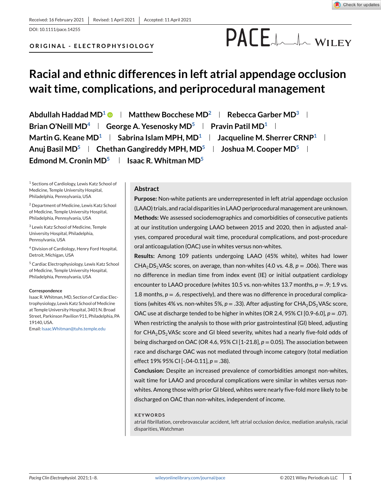#### Check for updates

DOI: 10.1111/pace.14255

**ORIGINAL - ELECTROPHYSIOLOGY**

## **PACE**

## **Racial and ethnic differences in left atrial appendage occlusion wait time, complications, and periprocedural management**

**Abdullah Haddad MD<sup>1</sup> © | Matthew Bocchese MD<sup>2</sup> | Rebecca Garber MD<sup>3</sup> | Brian O'Neill MD<sup>4</sup> | George A. Yesenosky MD<sup>5</sup> | Pravin Patil MD<sup>1</sup> | Martin G. Keane MD1 Sabrina Islam MPH, MD1 Jacqueline M. Sherrer CRNP1 Anuj Basil MD5 Chethan Gangireddy MPH, MD5 Joshua M. Cooper MD5 Edmond M. Cronin MD5 Isaac R. Whitman MD5**

<sup>1</sup> Sections of Cardiology, Lewis Katz School of Medicine, Temple University Hospital, Philadelphia, Pennsylvania, USA

<sup>2</sup> Department of Medicine, Lewis Katz School of Medicine, Temple University Hospital, Philadelphia, Pennsylvania, USA

<sup>3</sup> Lewis Katz School of Medicine, Temple University Hospital, Philadelphia, Pennsylvania, USA

<sup>4</sup> Division of Cardiology, Henry Ford Hospital, Detroit, Michigan, USA

<sup>5</sup> Cardiac Electrophysiology, Lewis Katz School of Medicine, Temple University Hospital, Philadelphia, Pennsylvania, USA

#### **Correspondence**

Isaac R. Whitman, MD, Section of Cardiac Electrophysiology, Lewis Katz School of Medicine at Temple University Hospital, 3401 N. Broad Street, Parkinson Pavilion 911, Philadelphia, PA 19140, USA.

Email: Isaac.Whitman@tuhs.temple.edu

#### **Abstract**

**Purpose:** Non-white patients are underrepresented in left atrial appendage occlusion (LAAO) trials, and racial disparities in LAAO periprocedural management are unknown. **Methods:** We assessed sociodemographics and comorbidities of consecutive patients at our institution undergoing LAAO between 2015 and 2020, then in adjusted analyses, compared procedural wait time, procedural complications, and post-procedure oral anticoagulation (OAC) use in whites versus non-whites.

**Results:** Among 109 patients undergoing LAAO (45% white), whites had lower  $CHA<sub>2</sub>DS<sub>2</sub> VASC scores, on average, than non-whites (4.0 vs. 4.8,  $p = .006$ ). There was$ no difference in median time from index event (IE) or initial outpatient cardiology encounter to LAAO procedure (whites 10.5 vs. non-whites 13.7 months, *p* = .9; 1.9 vs. 1.8 months,  $p = 0.6$ , respectively), and there was no difference in procedural complications (whites 4% vs. non-whites 5%,  $p = .33$ ). After adjusting for  $CHA<sub>2</sub>DS<sub>2</sub> VASC score$ , OAC use at discharge tended to be higher in whites (OR 2.4, 95% CI [0.9-6.0], *p* = .07). When restricting the analysis to those with prior gastrointestinal (GI) bleed, adjusting for  $CHA<sub>2</sub>DS<sub>2</sub>VASc$  score and GI bleed severity, whites had a nearly five-fold odds of being discharged on OAC (OR 4.6, 95% CI [1-21.8], *p* = 0.05). The association between race and discharge OAC was not mediated through income category (total mediation effect 19% 95% CI [-.04-0.11], *p* = .38).

**Conclusion:** Despite an increased prevalence of comorbidities amongst non-whites, wait time for LAAO and procedural complications were similar in whites versus nonwhites. Among those with prior GI bleed, whites were nearly five-fold more likely to be discharged on OAC than non-whites, independent of income.

#### **KEYWORDS**

atrial fibrillation, cerebrovascular accident, left atrial occlusion device, mediation analysis, racial disparities, Watchman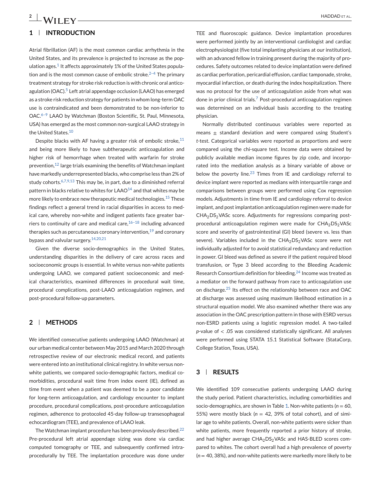### **1 INTRODUCTION**

Atrial fibrillation (AF) is the most common cardiac arrhythmia in the United States, and its prevalence is projected to increase as the population ages. $1$  It affects approximately 1% of the United States population and is the most common cause of embolic stroke.<sup>2-4</sup> The primary treatment strategy for stroke risk reduction is with chronic oral antico-agulation (OAC).<sup>[5](#page-8-0)</sup> Left atrial appendage occlusion (LAAO) has emerged as a stroke risk reduction strategy for patients in whom long-term OAC use is contraindicated and been demonstrated to be non-inferior to OAC.<sup>6-9</sup> LAAO by Watchman (Boston Scientific, St. Paul, Minnesota, USA) has emerged as the most common non-surgical LAAO strategy in the United States.<sup>[10](#page-9-0)</sup>

Despite blacks with AF having a greater risk of embolic stroke, $11$ and being more likely to have subtherapeutic anticoagulation and higher risk of hemorrhage when treated with warfarin for stroke prevention, $12$  large trials examining the benefits of Watchman implant have markedly underrepresented blacks, who comprise less than 2% of study cohorts. $6,7,9,13$  This may be, in part, due to a diminished referral pattern in blacks relative to whites for LAAO $14$  and that whites may be more likely to embrace new therapeutic medical technologies.<sup>[15](#page-9-0)</sup> These findings reflect a general trend in racial disparities in access to medical care, whereby non-white and indigent patients face greater barriers to continuity of care and medical care,  $16-18$  including advanced therapies such as percutaneous coronary intervention.<sup>[19](#page-9-0)</sup> and coronary bypass and valvular surgery.[14,20,21](#page-9-0)

Given the diverse socio-demographics in the United States, understanding disparities in the delivery of care across races and socioeconomic groups is essential. In white versus non-white patients undergoing LAAO, we compared patient socioeconomic and medical characteristics, examined differences in procedural wait time, procedural complications, post-LAAO anticoagulation regimen, and post-procedural follow-up parameters.

#### **2 METHODS**

We identified consecutive patients undergoing LAAO (Watchman) at our urban medical center between May 2015 and March 2020 through retrospective review of our electronic medical record, and patients were entered into an institutional clinical registry. In white versus nonwhite patients, we compared socio-demographic factors, medical comorbidities, procedural wait time from index event (IE), defined as time from event when a patient was deemed to be a poor candidate for long-term anticoagulation, and cardiology encounter to implant procedure, procedural complications, post-procedure anticoagulation regimen, adherence to protocoled 45-day follow-up transesophageal echocardiogram (TEE), and prevalence of LAAO leak.

The Watchman implant procedure has been previously described.[22](#page-9-0) Pre-procedural left atrial appendage sizing was done via cardiac computed tomography or TEE, and subsequently confirmed intraprocedurally by TEE. The implantation procedure was done under

TEE and fluoroscopic guidance. Device implantation procedures were performed jointly by an interventional cardiologist and cardiac electrophysiologist (five total implanting physicians at our institution), with an advanced fellow in training present during the majority of procedures. Safety outcomes related to device implantation were defined as cardiac perforation, pericardial effusion, cardiac tamponade, stroke, myocardial infarction, or death during the index hospitalization. There was no protocol for the use of anticoagulation aside from what was done in prior clinical trials.[7](#page-8-0) Post-procedural anticoagulation regimen was determined on an individual basis according to the treating physician.

Normally distributed continuous variables were reported as means  $\pm$  standard deviation and were compared using Student's *t*-test. Categorical variables were reported as proportions and were compared using the chi-square test. Income data were obtained by publicly available median income figures by zip code, and incorporated into the mediation analysis as a binary variable of above or below the poverty line.<sup>[23](#page-9-0)</sup> Times from IE and cardiology referral to device implant were reported as medians with interquartile range and comparisons between groups were performed using Cox regression models. Adjustments in time from IE and cardiology referral to device implant, and post implantation anticoagulation regimen were made for  $CHA<sub>2</sub>DS<sub>2</sub> VASC score. Adjustments for regressions comparing post$ procedural anticoagulation regimen were made for  $CHA<sub>2</sub>DS<sub>2</sub>VASc$ score and severity of gastrointestinal (GI) bleed (severe vs. less than severe). Variables included in the  $CHA<sub>2</sub>DS<sub>2</sub> VASC score were not$ individually adjusted for to avoid statistical redundancy and reduction in power. GI bleed was defined as severe if the patient required blood transfusion, or Type 3 bleed according to the Bleeding Academic Research Consortium definition for bleeding.<sup>[24](#page-9-0)</sup> Income was treated as a mediator on the forward pathway from race to anticoagulation use on discharge.[25](#page-9-0) Its effect on the relationship between race and OAC at discharge was assessed using maximum likelihood estimation in a structural equation model. We also examined whether there was any association in the OAC prescription pattern in those with ESRD versus non-ESRD patients using a logistic regression model. A two-tailed *p*-value of < .05 was considered statistically significant. All analyses were performed using STATA 15.1 Statistical Software (StataCorp, College Station, Texas, USA).

#### **3 RESULTS**

We identified 109 consecutive patients undergoing LAAO during the study period. Patient characteristics, including comorbidities and socio-demographics, are shown in Table [1.](#page-5-0) Non-white patients (*n* = 60, 55%) were mostly black ( $n = 42$ , 39% of total cohort), and of similar age to white patients. Overall, non-white patients were sicker than white patients, more frequently reported a prior history of stroke, and had higher average CHA<sub>2</sub>DS<sub>2</sub>VASc and HAS-BLED scores compared to whites. The cohort overall had a high prevalence of poverty (*n* = 40, 38%), and non-white patients were markedly more likely to be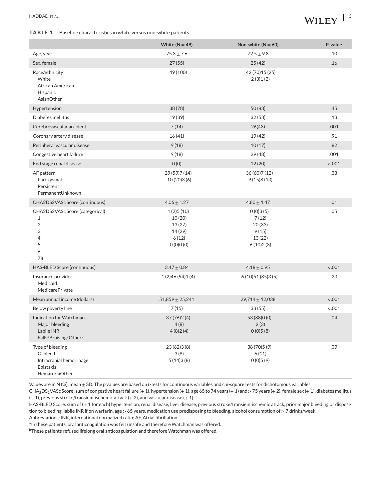#### <span id="page-5-0"></span>**TABLE 1** Baseline characteristics in white versus non-white patients

|                                                                                                                        | White ( $N = 49$ )                                           | Non-white $(N = 60)$                                         | P-value |
|------------------------------------------------------------------------------------------------------------------------|--------------------------------------------------------------|--------------------------------------------------------------|---------|
| Age, year                                                                                                              | $75.3 \pm 7.6$                                               | $72.5 \pm 9.8$                                               | .10     |
| Sex, female                                                                                                            | 27(55)                                                       | 25(42)                                                       | .16     |
| Race/ethnicity<br>White<br>African American<br>Hispanic<br>AsianOther                                                  | 49 (100)                                                     | 42 (70) 15 (25)<br>2(3)1(2)                                  |         |
| Hypertension                                                                                                           | 38 (78)                                                      | 50(83)                                                       | .45     |
| Diabetes mellitus                                                                                                      | 19 (39)                                                      | 32(53)                                                       | .13     |
| Cerebrovascular accident                                                                                               | 7(14)                                                        | 26(43)                                                       | .001    |
| Coronary artery disease                                                                                                | 16(41)                                                       | 19 (42)                                                      | .91     |
| Peripheral vascular disease                                                                                            | 9(18)                                                        | 10(17)                                                       | .82     |
| Congestive heart failure                                                                                               | 9(18)                                                        | 29 (48)                                                      | .001    |
| End stage renal disease                                                                                                | 0(0)                                                         | 12 (20)                                                      | < .001  |
| AF pattern<br>Paroxysmal<br>Persistent<br>PermanentUnknown                                                             | 29 (59)7 (14)<br>10 (20) 3 (6)                               | 36 (60) 7 (12)<br>9(15)8(13)                                 | .38     |
| CHA2DS2VASc Score (continuous)                                                                                         | $4.06 \pm 1.27$                                              | $4.80 \pm 1.47$                                              | .01     |
| CHA2DS2VASc Score (categorical)<br>$\mathbf{1}$<br>$\overline{2}$<br>3<br>4<br>5<br>6<br>78                            | 1(2)5(10)<br>10(20)<br>13(27)<br>14(29)<br>6(12)<br>0(0)0(0) | 0(0)3(5)<br>7(12)<br>20(33)<br>9(15)<br>13 (22)<br>6(10)2(3) | .05     |
| HAS-BLED Score (continuous)                                                                                            | $3.47 \pm 0.84$                                              | $4.18 \pm 0.95$                                              | < .001  |
| Insurance provider<br>Medicaid<br><b>MedicarePrivate</b>                                                               | 1(2)46(94)1(4)                                               | 6(10)51(85)3(5)                                              | .23     |
| Mean annual income (dollars)                                                                                           | $51,859 \pm 25,241$                                          | $29,714 \pm 12,038$                                          | < .001  |
| Below poverty line                                                                                                     | 7(15)                                                        | 33(55)                                                       | < .001  |
| Indication for Watchman<br>Major bleeding<br>Labile INR<br>Falls <sup>a</sup> Bruising <sup>b</sup> Other <sup>b</sup> | 37 (76) 2 (4)<br>4(8)<br>4(8)2(4)                            | 53 (88) 0 (0)<br>2(3)<br>0(0)5(8)                            | .04     |
| Type of bleeding<br>GI bleed<br>Intracranial hemorrhage<br>Epistaxis<br>HematuriaOther                                 | 23 (62) 3 (8)<br>3(8)<br>5(14)3(8)                           | 38 (70) 5 (9)<br>6(11)<br>0(0)5(9)                           | .09     |

Values are in N (%), mean ± SD. The *p* values are based on *t*-tests for continuous variables and chi-square tests for dichotomous variables.

 $CHA<sub>2</sub>DS<sub>2</sub> VASC Score: sum of consestive heart failure (+ 1), hypertension (+ 1), age 65 to 74 years (+ 1) and  $> 75$  years (+ 2), female sex (+ 1), diabetes mellitus$  $(+ 1)$ , previous stroke/transient ischemic attack  $(+ 2)$ , and vascular disease  $(+ 1)$ .

HAS-BLED Score: sum of (+ 1 for each) hypertension, renal disease, liver disease, previous stroke/transient ischemic attack, prior major bleeding or disposition to bleeding, labile INR if on warfarin, age > 65 years, medication use predisposing to bleeding, alcohol consumption of > 7 drinks/week.

Abbreviations: INR, international normalized ratio; AF, Atrial fibrillation.

aIn these patients, oral anticoagulation was felt unsafe and therefore Watchman was offered.

bThese patients refused lifelong oral anticoagulation and therefore Watchman was offered.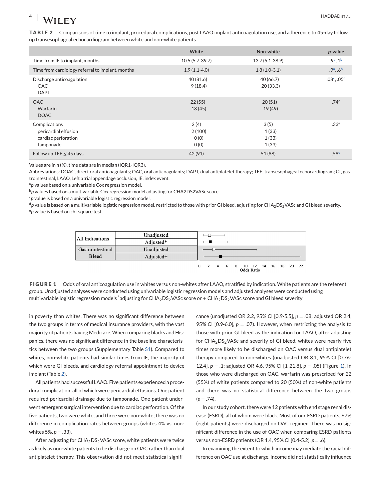**TABLE 2** Comparisons of time to implant, procedural complications, post LAAO implant anticoagulation use, and adherence to 45-day follow up transesophageal echocardiogram between white and non-white patients

|                                                                           | White                          | Non-white                       | $p$ -value                       |
|---------------------------------------------------------------------------|--------------------------------|---------------------------------|----------------------------------|
| Time from IE to implant, months                                           | $10.5(5.7-39.7)$               | $13.7(5.1 - 38.9)$              | .9 <sup>a</sup> , 1 <sup>b</sup> |
| Time from cardiology referral to implant, months                          | $1.9(1.1-4.0)$                 | $1.8(1.0-3.1)$                  | $.9^a, .6^b$                     |
| Discharge anticoagulation<br><b>OAC</b><br><b>DAPT</b>                    | 40 (81.6)<br>9(18.4)           | 40 (66.7)<br>20(33.3)           | $.08^c$ $05^d$                   |
| <b>OAC</b><br>Warfarin<br><b>DOAC</b>                                     | 22(55)<br>18(45)               | 20(51)<br>19 (49)               | .74 <sup>e</sup>                 |
| Complications<br>pericardial effusion<br>cardiac perforation<br>tamponade | 2(4)<br>2(100)<br>O(0)<br>O(0) | 3(5)<br>1(33)<br>1(33)<br>1(33) | .33 <sup>e</sup>                 |
| Follow up TEE $\leq$ 45 days                                              | 42 (91)                        | 51 (88)                         | .58 <sup>e</sup>                 |

Values are in n (%), time data are in median (IQR1-IQR3).

Abbreviations: DOAC, direct oral anticoagulants; OAC, oral anticoagulants; DAPT, dual antiplatelet therapy; TEE, transesophageal echocardiogram; GI, gastrointestinal; LAAO, Left atrial appendage occlusion; IE, index event.

<sup>a</sup>*p* values based on a univariable Cox regression model.

<sup>b</sup>*p* values based on a multivariable Cox regression model adjusting for CHA2DS2VASc score.

<sup>c</sup>p value is based on a univariable logistic regression model.

<sup>d</sup>p value is based on a multivariable logistic regression model, restricted to those with prior GI bleed, adjusting for CHA<sub>2</sub>DS<sub>2</sub>VASc and GI bleed severity. <sup>e</sup>*p* value is based on chi-square test.





in poverty than whites. There was no significant difference between the two groups in terms of medical insurance providers, with the vast majority of patients having Medicare. When comparing blacks and Hispanics, there was no significant difference in the baseline characteristics between the two groups (Supplementary Table S1). Compared to whites, non-white patients had similar times from IE, the majority of which were GI bleeds, and cardiology referral appointment to device implant (Table 2).

All patients had successful LAAO. Five patients experienced a procedural complication, all of which were pericardial effusions. One patient required pericardial drainage due to tamponade. One patient underwent emergent surgical intervention due to cardiac perforation. Of the five patients, two were white, and three were non-white; there was no difference in complication rates between groups (whites 4% vs. nonwhites 5%, *p* = .33).

After adjusting for  $CHA<sub>2</sub>DS<sub>2</sub> VASC score, white patients were twice$ as likely as non-white patients to be discharge on OAC rather than dual antiplatelet therapy. This observation did not meet statistical significance (unadjusted OR 2.2, 95% CI [0.9-5.5], *p* = .08; adjusted OR 2.4, 95% CI  $[0.9-6.0]$ ,  $p = .07$ ). However, when restricting the analysis to those with prior GI bleed as the indication for LAAO, after adjusting for  $CHA<sub>2</sub>DS<sub>2</sub>VASc$  and severity of GI bleed, whites were nearly five times more likely to be discharged on OAC versus dual antiplatelet therapy compared to non-whites (unadjusted OR 3.1, 95% CI [0.76- 12.4], *p* = .1; adjusted OR 4.6, 95% CI [1-21.8], *p* = .05) (Figure 1). In those who were discharged on OAC, warfarin was prescribed for 22 (55%) of white patients compared to 20 (50%) of non-white patients and there was no statistical difference between the two groups  $(p=.74)$ .

In our study cohort, there were 12 patients with end stage renal disease (ESRD), all of whom were black. Most of our ESRD patients, 67% (eight patients) were discharged on OAC regimen. There was no significant difference in the use of OAC when comparing ESRD patients versus non-ESRD patients (OR 1.4, 95% CI [0.4-5.2], *p* = .6).

In examining the extent to which income may mediate the racial difference on OAC use at discharge, income did not statistically influence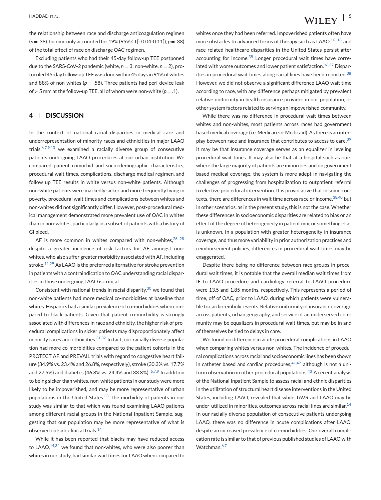the relationship between race and discharge anticoagulation regimen (*p* = .38). Income only accounted for 19% (95% CI [- 0.04-0.11]), *p* = .38) of the total effect of race on discharge OAC regimen.

Excluding patients who had their 45-day follow-up TEE postponed due to the SARS-CoV-2 pandemic (white,  $n = 3$ ; non-white,  $n = 2$ ), protocoled 45-day follow-up TEE was done within 45 days in 91% of whites and 88% of non-whites ( $p = .58$ ). Three patients had peri-device leak of  $> 5$  mm at the follow-up TEE, all of whom were non-white ( $p = .1$ ).

#### **4 DISCUSSION**

In the context of national racial disparities in medical care and underrepresentation of minority races and ethnicities in major LAAO trials,  $6,7,9,13$  we examined a racially diverse group of consecutive patients undergoing LAAO procedures at our urban institution. We compared patient comorbid and socio-demographic characteristics, procedural wait times, complications, discharge medical regimen, and follow up TEE results in white versus non-white patients. Although non-white patients were markedly sicker and more frequently living in poverty, procedural wait times and complications between whites and non-whites did not significantly differ. However, post-procedural medical management demonstrated more prevalent use of OAC in whites than in non-whites, particularly in a subset of patients with a history of GI bleed.

AF is more common in whites compared with non-whites, $26-28$ despite a greater incidence of risk factors for AF amongst nonwhites, who also suffer greater morbidity associated with AF, including stroke.<sup>[11,29](#page-9-0)</sup> As LAAO is the preferred alternative for stroke prevention in patients with a contraindication to OAC understanding racial disparities in those undergoing LAAO is critical.

Consistent with national trends in racial disparity,  $30$  we found that non-white patients had more medical co-morbidities at baseline than whites. Hispanics had a similar prevalence of co-morbidities when compared to black patients. Given that patient co-morbidity is strongly associated with differences in race and ethnicity, the higher risk of procedural complications in sicker patients may disproportionately affect minority races and ethnicities. $31,32$  In fact, our racially diverse population had more co-morbidities compared to the patient cohorts in the PROTECT AF and PREVAIL trials with regard to congestive heart failure (34.9% vs. 23.4% and 26.8%, respectively), stroke (30.3% vs. 17.7% and 27.5%) and diabetes (46.8% vs. 24.4% and 33.8%)..<sup>[6,7,9](#page-8-0)</sup> In addition to being sicker than whites, non-white patients in our study were more likely to be impoverished, and may be more representative of urban populations in the United States.<sup>[33](#page-9-0)</sup> The morbidity of patients in our study was similar to that which was found examining LAAO patients among different racial groups in the National Inpatient Sample, suggesting that our population may be more representative of what is observed outside clinical trials.[14](#page-9-0)

While it has been reported that blacks may have reduced access to LAAO, $14,34$  we found that non-whites, who were also poorer than whites in our study, had similar wait times for LAAO when compared to

whites once they had been referred. Impoverished patients often have more obstacles to advanced forms of therapy such as  $LAAO$ ,  $16-18$  and race-related healthcare disparities in the United States persist after accounting for income. $35$  Longer procedural wait times have corre-lated with worse outcomes and lower patient satisfaction.<sup>[36,37](#page-9-0)</sup> Disparities in procedural wait times along racial lines have been reported. $38$ However, we did not observe a significant difference LAAO wait time according to race, with any difference perhaps mitigated by prevalent relative uniformity in health insurance provider in our population, or other system factors related to serving an impoverished community.

While there was no difference in procedural wait times between whites and non-whites, most patients across races had government based medical coverage (i.e. Medicare or Medicaid). As there is an interplay between race and insurance that contributes to access to care,  $39$ it may be that insurance coverage serves as an equalizer in leveling procedural wait times. It may also be that at a hospital such as ours where the large majority of patients are minorities and on government based medical coverage, the system is more adept in navigating the challenges of progressing from hospitalization to outpatient referral to elective procedural intervention. It is provocative that in some con-texts, there are differences in wait time across race or income, [38,40](#page-9-0) but in other scenarios, as in the present study, this is not the case. Whether these differences in socioeconomic disparities are related to bias or an effect of the degree of heterogeneity in patient mix, or something else, is unknown. In a population with greater heterogeneity in insurance coverage, and thus more variability in prior authorization practices and reimbursement policies, differences in procedural wait times may be exaggerated.

Despite there being no difference between race groups in procedural wait times, it is notable that the overall median wait times from IE to LAAO procedure and cardiology referral to LAAO procedure were 13.5 and 1.85 months, respectively. This represents a period of time, off of OAC, prior to LAAO, during which patients were vulnerable to cardio-embolic events. Relative uniformity of insurance coverage across patients, urban geography, and service of an underserved community may be equalizers in procedural wait times, but may be in and of themselves be tied to delays in care.

We found no difference in acute procedural complications in LAAO when comparing whites versus non-whites. The incidence of procedural complications across racial and socioeconomic lines has been shown in catheter based and cardiac procedures,  $41,42$  although is not a uniform observation in other procedural populations.[43](#page-9-0) A recent analysis of the National Inpatient Sample to assess racial and ethnic disparities in the utilization of structural heart disease interventions in the United States, including LAAO, revealed that while TAVR and LAAO may be under-utilized in minorities, outcomes across racial lines are similar.<sup>[14](#page-9-0)</sup> In our racially diverse population of consecutive patients undergoing LAAO, there was no difference in acute complications after LAAO, despite an increased prevalence of co-morbidities. Our overall complication rate is similar to that of previous published studies of LAAO with Watchman.<sup>[6,7](#page-8-0)</sup>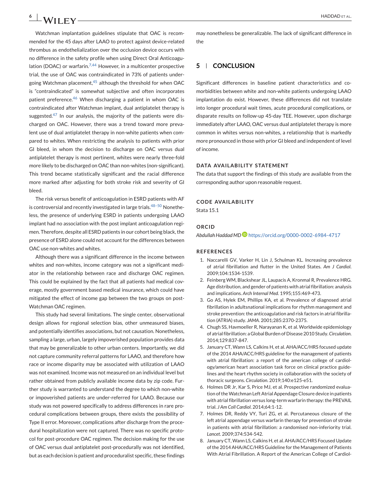<span id="page-8-0"></span>Watchman implantation guidelines stipulate that OAC is recommended for the 45 days after LAAO to protect against device-related thrombus as endothelialization over the occlusion device occurs with no difference in the safety profile when using Direct Oral Anticoagulation (DOAC) or warfarin.<sup>7,44</sup> However, in a multicenter prospective trial, the use of OAC was contraindicated in 73% of patients under-going Watchman placement,<sup>[45](#page-9-0)</sup> although the threshold for when OAC is "contraindicated" is somewhat subjective and often incorporates patient preference.<sup>[46](#page-9-0)</sup> When discharging a patient in whom OAC is contraindicated after Watchman implant, dual antiplatelet therapy is suggested. $47$  In our analysis, the majority of the patients were discharged on OAC. However, there was a trend toward more prevalent use of dual antiplatelet therapy in non-white patients when compared to whites. When restricting the analysis to patients with prior GI bleed, in whom the decision to discharge on OAC versus dual antiplatelet therapy is most pertinent, whites were nearly three-fold more likely to be discharged on OAC than non-whites (non-significant). This trend became statistically significant and the racial difference more marked after adjusting for both stroke risk and severity of GI bleed.

The risk versus benefit of anticoagulation in ESRD patients with AF is controversial and recently investigated in large trials.  $48-50$  Nonetheless, the presence of underlying ESRD in patients undergoing LAAO implant had no association with the post implant anticoagulation regimen. Therefore, despite all ESRD patients in our cohort being black, the presence of ESRD alone could not account for the differences between OAC use non-whites and whites.

Although there was a significant difference in the income between whites and non-whites, income category was not a significant mediator in the relationship between race and discharge OAC regimen. This could be explained by the fact that all patients had medical coverage, mostly government based medical insurance, which could have mitigated the effect of income gap between the two groups on post-Watchman OAC regimen.

This study had several limitations. The single center, observational design allows for regional selection bias, other unmeasured biases, and potentially identifies associations, but not causation. Nonetheless, sampling a large, urban, largely impoverished population provides data that may be generalizable to other urban centers. Importantly, we did not capture community referral patterns for LAAO, and therefore how race or income disparity may be associated with utilization of LAAO was not examined. Income was not measured on an individual level but rather obtained from publicly available income data by zip code. Further study is warranted to understand the degree to which non-white or impoverished patients are under-referred for LAAO. Because our study was not powered specifically to address differences in rare procedural complications between groups, there exists the possibility of Type II error. Moreover, complications after discharge from the procedural hospitalization were not captured. There was no specific protocol for post-procedure OAC regimen. The decision making for the use of OAC versus dual antiplatelet post-procedurally was not identified, but as each decision is patient and proceduralist specific, these findings

may nonetheless be generalizable. The lack of significant difference in the

#### **5 CONCLUSION**

Significant differences in baseline patient characteristics and comorbidities between white and non-white patients undergoing LAAO implantation do exist. However, these differences did not translate into longer procedural wait times, acute procedural complications, or disparate results on follow-up 45-day TEE. However, upon discharge immediately after LAAO, OAC versus dual antiplatelet therapy is more common in whites versus non-whites, a relationship that is markedly more pronounced in those with prior GI bleed and independent of level of income.

#### **DATA AVAILABILITY STATEMENT**

The data that support the findings of this study are available from the corresponding author upon reasonable request.

#### **CODE AVAILABILITY**

Stata 15.1

#### **ORCID**

*Abdullah Haddad M[D](https://orcid.org/0000-0002-6984-4717)* <https://orcid.org/0000-0002-6984-4717>

#### **REFERENCES**

- 1. Naccarelli GV, Varker H, Lin J, Schulman KL. Increasing prevalence of atrial fibrillation and flutter in the United States. *Am J Cardiol*. 2009;104:1534-1539.
- 2. Feinberg WM, Blackshear JL, Laupacis A, Kronmal R, Prevalence HRG. Age distribution, and gender of patients with atrial fibrillation: analysis and implications. *Arch Internal Med*. 1995;155:469-473.
- 3. Go AS, Hylek EM, Phillips KA, et al. Prevalence of diagnosed atrial fibrillation in adultsnational implications for rhythm management and stroke prevention: the anticoagulation and risk factors in atrial fibrillation (ATRIA) study. *JAMA*. 2001;285:2370-2375.
- 4. Chugh SS, Havmoeller R, Narayanan K, et al. Worldwide epidemiology of atrial fibrillation: a Global Burden of Disease 2010 Study.*Circulation*. 2014;129:837-847.
- 5. January CT, Wann LS, Calkins H, et al. AHA/ACC/HRS focused update of the 2014 AHA/ACC/HRS guideline for the management of patients with atrial fibrillation: a report of the american college of cardiology/american heart association task force on clinical practice guidelines and the heart rhythm society in collaboration with the society of thoracic surgeons. *Circulation*. 2019;140:e125-e51.
- 6. Holmes DR Jr, Kar S, Price MJ, et al. Prospective randomized evaluation of the Watchman Left Atrial Appendage Closure device in patients with atrial fibrillation versus long-term warfarin therapy: the PREVAIL trial. *J Am Coll Cardiol*. 2014;64:1-12.
- 7. Holmes DR, Reddy VY, Turi ZG, et al. Percutaneous closure of the left atrial appendage versus warfarin therapy for prevention of stroke in patients with atrial fibrillation: a randomised non-inferiority trial. *Lancet*. 2009;374:534-542.
- 8. January CT, Wann LS, Calkins H, et al. AHA/ACC/HRS Focused Update of the 2014 AHA/ACC/HRS Guideline for the Management of Patients With Atrial Fibrillation. A Report of the American College of Cardiol-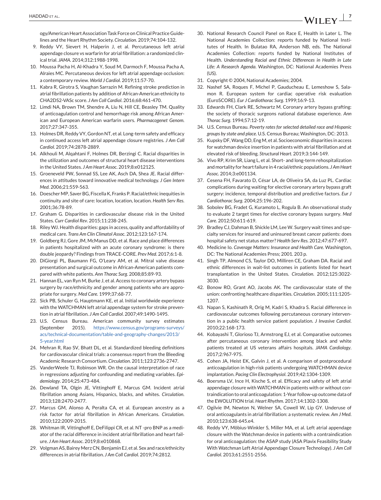<span id="page-9-0"></span>ogy/American Heart Association Task Force on Clinical Practice Guidelines and the Heart Rhythm Society. *Circulation*. 2019;74:104-132.

- 9. Reddy VY, Sievert H, Halperin J, et al. Percutaneous left atrial appendage closure vs warfarin for atrial fibrillation: a randomized clinical trial. *JAMA*. 2014;312:1988-1998.
- 10. Moussa Pacha H, Al-Khadra Y, Soud M, Darmoch F, Moussa Pacha A, Alraies MC. Percutaneous devices for left atrial appendage occlusion: a contemporary review. *World J Cardiol*. 2019;11:57-70.
- 11. Kabra R, Girotra S, Vaughan Sarrazin M. Refining stroke prediction in atrial fibrillation patients by addition of African-American ethnicity to CHA2DS2-VASc score. *J Am Coll Cardiol*. 2016;68:461-470.
- 12. Limdi NA, Brown TM, Shendre A, Liu N, Hill CE, Beasley TM. Quality of anticoagulation control and hemorrhage risk among African American and European American warfarin users. *Pharmacogenet Genom*. 2017;27:347-355.
- 13. Holmes DR, Reddy VY, Gordon NT, et al. Long-term safety and efficacy in continued access left atrial appendage closure registries. *J Am Coll Cardiol*. 2019;74:2878-2889.
- 14. Alkhouli M, Alqahtani F, Holmes DR, Berzingi C. Racial disparities in the utilization and outcomes of structural heart disease interventions in the United States. *J Am Heart Assoc*. 2019;8:e012125.
- 15. Groeneveld PW, Sonnad SS, Lee AK, Asch DA, Shea JE. Racial differences in attitudes toward innovative medical technology. *J Gen Intern Med*. 2006;21:559-563.
- 16. DoescherMP, Saver BG, Fiscella K, Franks P. Racial/ethnic inequities in continuity and site of care: location, location, location. *Health Serv Res*. 2001;36:78-89.
- 17. Graham G. Disparities in cardiovascular disease risk in the United States. *Curr Cardiol Rev*. 2015;11:238-245.
- 18. Riley WJ. Health disparities: gaps in access, quality and affordability of medical care. *Trans Am Clin Climatol Assoc*. 2012;123:167-174.
- 19. Goldberg RJ, Gore JM, McManus DD, et al. Race and place differences in patients hospitalized with an acute coronary syndrome: is there double jeopardy? Findings from TRACE-CORE. *Prev Med*. 2017;6:1-8.
- 20. DiGiorgi PL, Baumann FG, O'Leary AM, et al. Mitral valve disease presentation and surgical outcome in African-American patients compared with white patients. *Ann Thorac Surg*. 2008;85:89-93.
- 21. Hannan EL, van Ryn M, Burke J, et al. Access to coronary artery bypass surgery by race/ethnicity and gender among patients who are appropriate for surgery. *Med Care*. 1999;37:68-77.
- 22. Sick PB, Schuler G, Hauptmann KE, et al. Initial worldwide experience with the WATCHMAN left atrial appendage system for stroke prevention in atrial fibrillation. *J Am Coll Cardiol*. 2007;49:1490-1495.
- 23. U.S. Census Bureau. American community survey estimates (September 2015). [https://www.census.gov/programs-surveys/](https://www.census.gov/programs-surveys/acs/technical-documentation/table-and-geography-changes/2013/5-year.html) [acs/technical-documentation/table-and-geography-changes/2013/](https://www.census.gov/programs-surveys/acs/technical-documentation/table-and-geography-changes/2013/5-year.html) [5-year.html](https://www.census.gov/programs-surveys/acs/technical-documentation/table-and-geography-changes/2013/5-year.html)
- 24. Mehran R, Rao SV, Bhatt DL, et al. Standardized bleeding definitions for cardiovascular clinical trials: a consensus report from the Bleeding Academic Research Consortium. *Circulation*. 2011;123:2736-2747.
- 25. VanderWeele TJ, Robinson WR. On the causal interpretation of race in regressions adjusting for confounding and mediating variables. *Epidemiology*. 2014;25:473-484.
- 26. Dewland TA, Olgin JE, Vittinghoff E, Marcus GM. Incident atrial fibrillation among Asians, Hispanics, blacks, and whites. *Circulation*. 2013;128:2470-2477.
- 27. Marcus GM, Alonso A, Peralta CA, et al. European ancestry as a risk factor for atrial fibrillation in African Americans. *Circulation*. 2010;122:2009-2015.
- 28. Whitman IR, Vittinghoff E, DeFilippi CR, et al. NT -pro BNP as a mediator of the racial difference in incident atrial fibrillation and heart failure. *J Am Heart Assoc*. 2019;8:e010868.
- 29. Volgman AS, Bairey Merz CN, Benjamin EJ, et al. Sex and race/ethnicity differences in atrial fibrillation. *J Am Coll Cardiol*. 2019;74:2812.
- 30. National Research Council Panel on Race E, Health in Later L. The National Academies Collection: reports funded by National Institutes of Health. In Bulatao RA, Anderson NB, eds. The National Academies Collection: reports funded by National Institutes of Health. *Understanding Racial and Ethnic Differences in Health in Late Life: A Research Agenda*. Washington, DC: National Academies Press (US).
- 31. Copyright © 2004, National Academies; 2004.
- 32. Nashef SA, Roques F, Michel P, Gauducheau E, Lemeshow S, Salamon R. European system for cardiac operative risk evaluation (EuroSCORE). *Eur J Cardiothorac Surg*. 1999;16:9-13.
- 33. Edwards FH, Clark RE, Schwartz M. Coronary artery bypass grafting: the society of thoracic surgeons national database experience. *Ann Thorac Surg*. 1994;57:12-19.
- 34. U.S. Census Bureau. *Poverty rates for selected detailed race and Hispanic groups by state and place*. U.S. Census Bureau; Washington, DC: 2013.
- 35. Kupsky DF,Wang DD, Eng M, et al. Socioeconomic disparities in access for watchman device insertion in patients with atrial fibrillation and at elevated risk of bleeding. *Structural Heart*. 2019;3:144-149.
- 36. Vivo RP, Krim SR, Liang L, et al. Short- and long-term rehospitalization and mortality for heart failure in 4 racial/ethnic populations. *J Am Heart Assoc*. 2014;3:e001134.
- 37. Cesena FH, Favarato D, César LA, de Oliveira SA, da Luz PL. Cardiac complications during waiting for elective coronary artery bypass graft surgery: incidence, temporal distribution and predictive factors. *Eur J Cardiothorac Surg*. 2004;25:196-202.
- 38. Sobolev BG, Fradet G, Kuramoto L, Rogula B. An observational study to evaluate 2 target times for elective coronary bypass surgery. *Med Care*. 2012;50:611-619.
- 39. Bradley CJ, Dahman B, Shickle LM, Lee W. Surgery wait times and specialty services for insured and uninsured breast cancer patients: does hospital safety net status matter? *Health Serv Res*. 2012;47:677-697.
- 40. Medicine Io. *Coverage Matters: Insurance and Health Care*. Washington, DC: The National Academies Press; 2001. 203 p.
- 41. Singh TP, Almond CS, Taylor DO, Milliren CE, Graham DA. Racial and ethnic differences in wait-list outcomes in patients listed for heart transplantation in the United States. *Circulation*. 2012;125:3022- 3030.
- 42. Bonow RO, Grant AO, Jacobs AK. The cardiovascular state of the union: confronting healthcare disparities. *Circulation*. 2005;111:1205- 1207.
- 43. Napan S, Kashinath R, Orig M, Kadri S, Khadra S. Racial difference in cardiovascular outcomes following percutaneous coronary intervention in a public health service patient population. *J Invasive Cardiol*. 2010;22:168-173.
- 44. Kobayashi T, Glorioso TJ, Armstrong EJ, et al. Comparative outcomes after percutaneous coronary intervention among black and white patients treated at US veterans affairs hospitals. *JAMA Cardiology*. 2017;2:967-975.
- 45. Cohen JA, Heist EK, Galvin J, et al. A comparison of postprocedural anticoagulation in high-risk patients undergoing WATCHMAN device implantation. *Pacing Clin Electrophysiol*. 2019;42:1304-1309.
- 46. Boersma LV, Ince H, Kische S, et al. Efficacy and safety of left atrial appendage closure with WATCHMAN in patients with or without contraindication to oral anticoagulation: 1-Year follow-up outcome data of the EWOLUTION trial. *Heart Rhythm*. 2017;14:1302-1308.
- 47. Ogilvie IM, Newton N, Welner SA, Cowell W, Lip GY. Underuse of oral anticoagulants in atrial fibrillation: a systematic review. *Am J Med*. 2010;123:638-645.e4.
- 48. Reddy VY, Möbius-Winkler S, Miller MA, et al. Left atrial appendage closure with the Watchman device in patients with a contraindication for oral anticoagulation: the ASAP study (ASA Plavix Feasibility Study With Watchman Left Atrial Appendage Closure Technology). *J Am Coll Cardiol*. 2013;61:2551-2556.